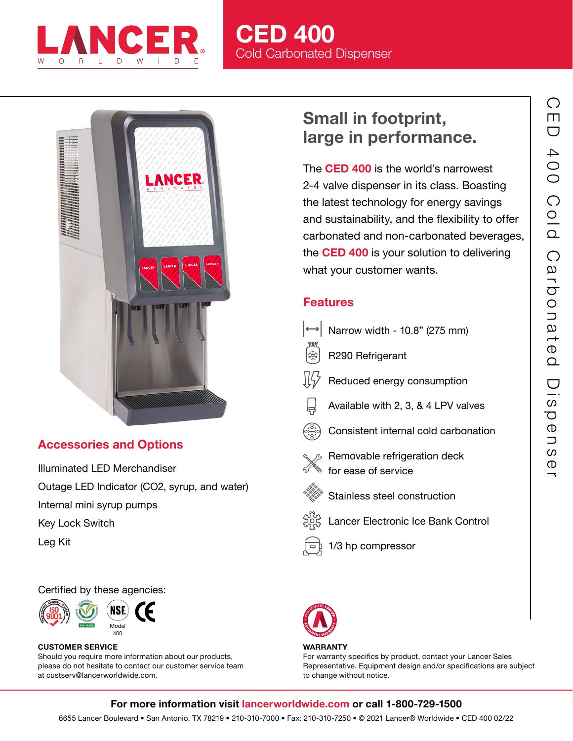

# CED 400 Cold Carbonated Dispenser



## Accessories and Options

Illuminated LED Merchandiser Outage LED Indicator (CO2, syrup, and water) Internal mini syrup pumps Key Lock Switch

Leg Kit

Certified by these agencies:



#### CUSTOMER SERVICE Should you require more information about our products, please do not hesitate to contact our customer service team at custserv@lancerworldwide.com.

# Small in footprint, large in performance.

The **CED 400** is the world's narrowest 2-4 valve dispenser in its class. Boasting the latest technology for energy savings and sustainability, and the flexibility to offer carbonated and non-carbonated beverages, the **CED 400** is your solution to delivering what your customer wants.

## Features

- $\rightarrow$  Narrow width 10.8" (275 mm)
- ₩ R290 Refrigerant
- Reduced energy consumption
- Available with 2, 3, & 4 LPV valves
- Consistent internal cold carbonation
- - Removable refrigeration deck for ease of service
- 

 $\overline{a}$ 

- Stainless steel construction
- Lancer Electronic Ice Bank Control





#### **WARRANTY**

For warranty specifics by product, contact your Lancer Sales Representative. Equipment design and/or specifications are subject to change without notice.

### For more information visit lancerworldwide.com or call 1-800-729-1500